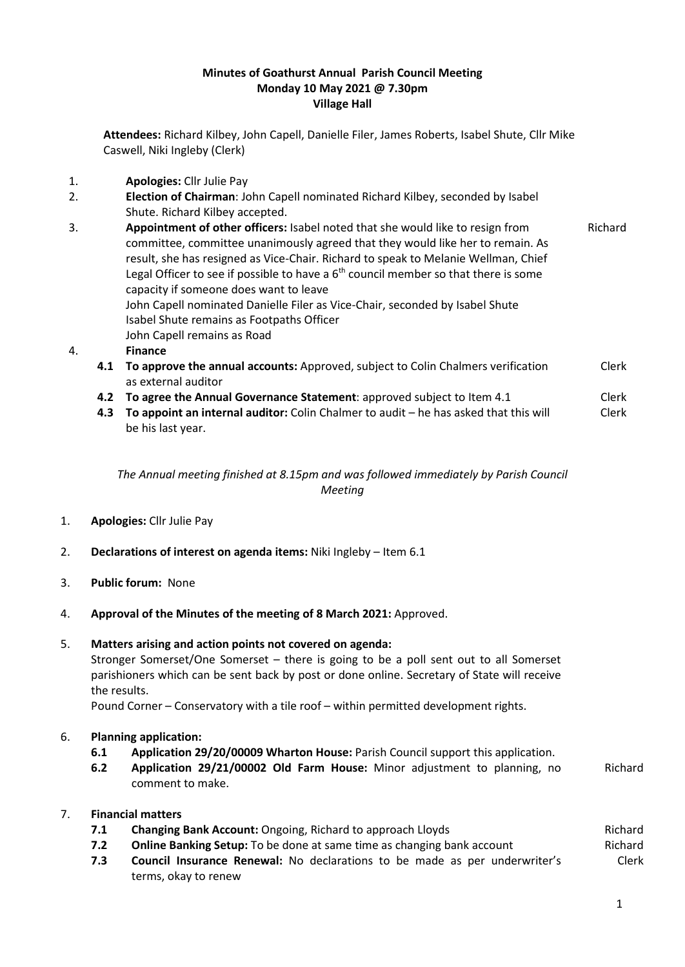### **Minutes of Goathurst Annual Parish Council Meeting Monday 10 May 2021 @ 7.30pm Village Hall**

**Attendees:** Richard Kilbey, John Capell, Danielle Filer, James Roberts, Isabel Shute, Cllr Mike Caswell, Niki Ingleby (Clerk)

- 1. **Apologies:** Cllr Julie Pay
- 2. **Election of Chairman**: John Capell nominated Richard Kilbey, seconded by Isabel Shute. Richard Kilbey accepted.
- 3. **Appointment of other officers:** Isabel noted that she would like to resign from committee, committee unanimously agreed that they would like her to remain. As result, she has resigned as Vice-Chair. Richard to speak to Melanie Wellman, Chief Legal Officer to see if possible to have a  $6<sup>th</sup>$  council member so that there is some capacity if someone does want to leave Richard John Capell nominated Danielle Filer as Vice-Chair, seconded by Isabel Shute Isabel Shute remains as Footpaths Officer John Capell remains as Road

### 4. **Finance**

- **4.1 To approve the annual accounts:** Approved, subject to Colin Chalmers verification as external auditor Clerk
- **4.2 To agree the Annual Governance Statement:** approved subject to Item 4.1 Clerk
- **4.3 To appoint an internal auditor:** Colin Chalmer to audit he has asked that this will be his last year. Clerk

# *The Annual meeting finished at 8.15pm and was followed immediately by Parish Council Meeting*

- 1. **Apologies:** Cllr Julie Pay
- 2. **Declarations of interest on agenda items:** Niki Ingleby Item 6.1
- 3. **Public forum:** None
- 4. **Approval of the Minutes of the meeting of 8 March 2021:** Approved.

#### 5. **Matters arising and action points not covered on agenda:**

Stronger Somerset/One Somerset – there is going to be a poll sent out to all Somerset parishioners which can be sent back by post or done online. Secretary of State will receive the results.

Pound Corner – Conservatory with a tile roof – within permitted development rights.

# 6. **Planning application:**

- **6.1 Application 29/20/00009 Wharton House:** Parish Council support this application.
- **6.2 Application 29/21/00002 Old Farm House:** Minor adjustment to planning, no comment to make. Richard

# 7. **Financial matters**

- **7.1 Changing Bank Account:** Ongoing, Richard to approach Lloyds **Richard Richard** Richard
- **7.2 Online Banking Setup:** To be done at same time as changing bank account Richard
- **7.3 Council Insurance Renewal:** No declarations to be made as per underwriter's terms, okay to renew Clerk